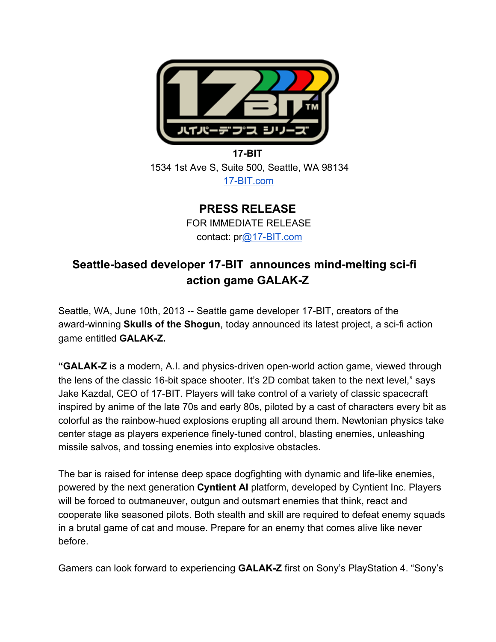

## **17-BIT** 1534 1st Ave S, Suite 500, Seattle, WA 98134 17-BIT.com

**PRESS RELEASE** FOR IMMEDIATE RELEASE contact: pr@17-BIT.com

# **Seattle-based developer 17-BIT announces mind-melting sci-fi action** game GALAK-Z

Seattle, WA, June 10th, 2013 -- Seattle game developer 17-BIT, creators of the award-winning **Skulls of the Shogun**, today announced its latest project, a sci-fi action game entitled **GALAK-Z.** 

**"GALAK-Z** is a modern, A.I. and physics-driven open-world action game, viewed through the lens of the classic 16-bit space shooter. It's 2D combat taken to the next level," says Jake Kazdal, CEO of 17-BIT. Players will take control of a variety of classic spacecraft inspired by anime of the late 70s and early 80s, piloted by a cast of characters every bit as colorful as the rainbow-hued explosions erupting all around them. Newtonian physics take center stage as players experience finely-tuned control, blasting enemies, unleashing missile salvos, and tossing enemies into explosive obstacles.

The bar is raised for intense deep space dogfighting with dynamic and life-like enemies, powered by the next generation **Cyntient AI** platform, developed by Cyntient Inc. Players will be forced to outmaneuver, outgun and outsmart enemies that think, react and cooperate like seasoned pilots. Both stealth and skill are required to defeat enemy squads in a brutal game of cat and mouse. Prepare for an enemy that comes alive like never before.

Gamers can look forward to experiencing **GALAK-Z** first on Sony's PlayStation 4. "Sony's